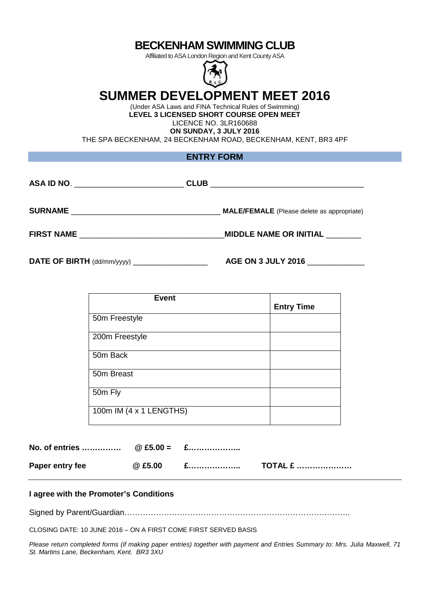## **BECKENHAM SWIMMING CLUB**

Affiliated to ASA London Region and Kent County ASA



# **SUMMER DEVELOPMENT MEET 2016**

(Under ASA Laws and FINA Technical Rules of Swimming) **LEVEL 3 LICENSED SHORT COURSE OPEN MEET**  LICENCE NO. 3LR160688 **ON SUNDAY, 3 JULY 2016** 

THE SPA BECKENHAM, 24 BECKENHAM ROAD, BECKENHAM, KENT, BR3 4PF

| ASA ID NO. _______________________ | <b>CLUB</b><br><u> 1980 - Johann Stoff, deutscher Stoff, der Stoff, der Stoff, der Stoff, der Stoff, der Stoff, der Stoff, der S</u> |
|------------------------------------|--------------------------------------------------------------------------------------------------------------------------------------|
| <b>SURNAME</b>                     | <b>MALE/FEMALE</b> (Please delete as appropriate)                                                                                    |
|                                    | MIDDLE NAME OR INITIAL _______                                                                                                       |

**DATE OF BIRTH** (dd/mm/yyyy) \_\_\_\_\_\_\_\_\_\_\_\_\_\_\_\_\_ **AGE ON 3 JULY 2016** \_\_\_\_\_\_\_\_\_\_\_\_\_

| <b>Event</b>            | <b>Entry Time</b> |
|-------------------------|-------------------|
| 50m Freestyle           |                   |
| 200m Freestyle          |                   |
| 50m Back                |                   |
| 50m Breast              |                   |
| 50m Fly                 |                   |
| 100m IM (4 x 1 LENGTHS) |                   |

**No. of entries …………… @ £5.00 = £………………..**  Paper entry fee  $\qquad \qquad \textcircled{2} \text{ £5.00}$   $\qquad \qquad \text{£}$  **.........................** 

#### **I agree with the Promoter's Conditions**

Signed by Parent/Guardian…………………………………………………………………………..

CLOSING DATE: 10 JUNE 2016 – ON A FIRST COME FIRST SERVED BASIS

Please return completed forms (if making paper entries) together with payment and Entries Summary to: Mrs. Julia Maxwell, 71 St. Martins Lane, Beckenham, Kent. BR3 3XU